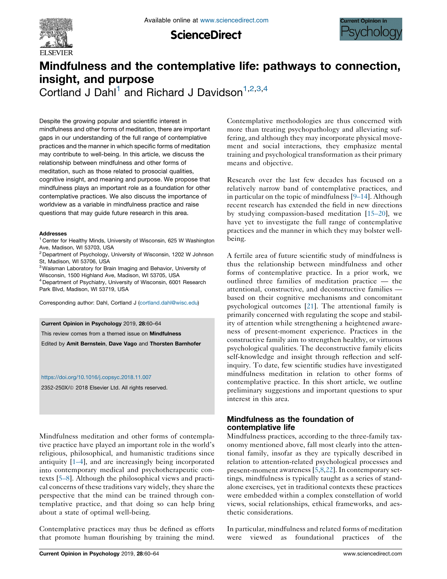

**ScienceDirect** 



# Mindfulness and the contemplative life: pathways to connection, insight, and purpose

Cortland J Dahl<sup>1</sup> and Richard J Davidson<sup>1,2,3,4</sup>

Despite the growing popular and scientific interest in mindfulness and other forms of meditation, there are important gaps in our understanding of the full range of contemplative practices and the manner in which specific forms of meditation may contribute to well-being. In this article, we discuss the relationship between mindfulness and other forms of meditation, such as those related to prosocial qualities, cognitive insight, and meaning and purpose. We propose that mindfulness plays an important role as a foundation for other contemplative practices. We also discuss the importance of worldview as a variable in mindfulness practice and raise questions that may guide future research in this area.

#### **Addresses**

<sup>1</sup> Center for Healthy Minds, University of Wisconsin, 625 W Washington Ave, Madison, WI 53703, USA

<sup>2</sup> Department of Psychology, University of Wisconsin, 1202 W Johnson St, Madison, WI 53706, USA

3Waisman Laboratory for Brain Imaging and Behavior, University of Wisconsin, 1500 Highland Ave, Madison, WI 53705, USA <sup>4</sup> Department of Psychiatry, University of Wisconsin, 6001 Research Park Blvd, Madison, WI 53719, USA

Corresponding author: Dahl, Cortland J [\(cortland.dahl@wisc.edu](mailto:cortland.dahl@wisc.edu))

#### Current Opinion in Psychology 2019, 28:60–64

This review comes from a themed issue on Mindfulness

Edited by Amit Bernstein, Dave Vago and Thorsten Barnhofer

#### <https://doi.org/10.1016/j.copsyc.2018.11.007>

2352-250X/ã 2018 Elsevier Ltd. All rights reserved.

Mindfulness meditation and other forms of contemplative practice have played an important role in the world's religious, philosophical, and humanistic traditions since antiquity [\[1–4](#page-3-0)], and are increasingly being incorporated into contemporary medical and psychotherapeutic contexts [[5–8](#page-3-0)]. Although the philosophical views and practical concerns of these traditions vary widely, they share the perspective that the mind can be trained through contemplative practice, and that doing so can help bring about a state of optimal well-being.

Contemplative practices may thus be defined as efforts that promote human flourishing by training the mind.

Contemplative methodologies are thus concerned with more than treating psychopathology and alleviating suffering, and although they may incorporate physical movement and social interactions, they emphasize mental training and psychological transformation as their primary means and objective.

Research over the last few decades has focused on a relatively narrow band of contemplative practices, and in particular on the topic of mindfulness [\[9–14\]](#page-3-0). Although recent research has extended the field in new directions by studying compassion-based meditation [\[15–20](#page-3-0)], we have yet to investigate the full range of contemplative practices and the manner in which they may bolster wellbeing.

A fertile area of future scientific study of mindfulness is thus the relationship between mindfulness and other forms of contemplative practice. In a prior work, we outlined three families of meditation practice — the attentional, constructive, and deconstructive families based on their cognitive mechanisms and concomitant psychological outcomes [\[21](#page-3-0)]. The attentional family is primarily concerned with regulating the scope and stability of attention while strengthening a heightened awareness of present-moment experience. Practices in the constructive family aim to strengthen healthy, or virtuous psychological qualities. The deconstructive family elicits self-knowledge and insight through reflection and selfinquiry. To date, few scientific studies have investigated mindfulness meditation in relation to other forms of contemplative practice. In this short article, we outline preliminary suggestions and important questions to spur interest in this area.

# Mindfulness as the foundation of contemplative life

Mindfulness practices, according to the three-family taxonomy mentioned above, fall most clearly into the attentional family, insofar as they are typically described in relation to attention-related psychological processes and present-moment awareness [\[5](#page-3-0),[8](#page-3-0)[,22](#page-4-0)]. In contemporary settings, mindfulness is typically taught as a series of standalone exercises, yet in traditional contexts these practices were embedded within a complex constellation of world views, social relationships, ethical frameworks, and aesthetic considerations.

In particular, mindfulness and related forms of meditation were viewed as foundational practices of the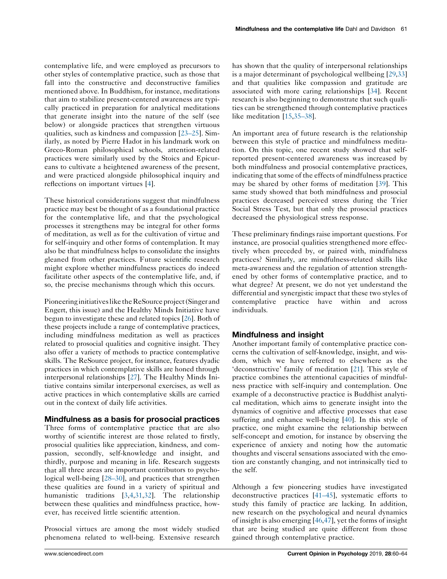contemplative life, and were employed as precursors to other styles of contemplative practice, such as those that fall into the constructive and deconstructive families mentioned above. In Buddhism, for instance, meditations that aim to stabilize present-centered awareness are typically practiced in preparation for analytical meditations that generate insight into the nature of the self (see below) or alongside practices that strengthen virtuous qualities, such as kindness and compassion [[23–25\]](#page-4-0). Similarly, as noted by Pierre Hadot in his landmark work on Greco-Roman philosophical schools, attention-related practices were similarly used by the Stoics and Epicureans to cultivate a heightened awareness of the present, and were practiced alongside philosophical inquiry and reflections on important virtues [\[4](#page-3-0)].

These historical considerations suggest that mindfulness practice may best be thought of as a foundational practice for the contemplative life, and that the psychological processes it strengthens may be integral for other forms of meditation, as well as for the cultivation of virtue and for self-inquiry and other forms of contemplation. It may also be that mindfulness helps to consolidate the insights gleaned from other practices. Future scientific research might explore whether mindfulness practices do indeed facilitate other aspects of the contemplative life, and, if so, the precise mechanisms through which this occurs.

Pioneering initiatives like the ReSource project (Singer and Engert, this issue) and the Healthy Minds Initiative have begun to investigate these and related topics [\[26](#page-4-0)]. Both of these projects include a range of contemplative practices, including mindfulness meditation as well as practices related to prosocial qualities and cognitive insight. They also offer a variety of methods to practice contemplative skills. The ReSource project, for instance, features dyadic practices in which contemplative skills are honed through interpersonal relationships [\[27](#page-4-0)]. The Healthy Minds Initiative contains similar interpersonal exercises, as well as active practices in which contemplative skills are carried out in the context of daily life activities.

## Mindfulness as a basis for prosocial practices

Three forms of contemplative practice that are also worthy of scientific interest are those related to firstly, prosocial qualities like appreciation, kindness, and compassion, secondly, self-knowledge and insight, and thirdly, purpose and meaning in life. Research suggests that all three areas are important contributors to psycho-logical well-being [[28–30\]](#page-4-0), and practices that strengthen these qualities are found in a variety of spiritual and humanistic traditions [\[3](#page-3-0),[4,](#page-3-0)[31](#page-4-0),[32\]](#page-4-0). The relationship between these qualities and mindfulness practice, however, has received little scientific attention.

Prosocial virtues are among the most widely studied phenomena related to well-being. Extensive research

has shown that the quality of interpersonal relationships is a major determinant of psychological wellbeing [[29,33](#page-4-0)] and that qualities like compassion and gratitude are associated with more caring relationships [\[34](#page-4-0)]. Recent research is also beginning to demonstrate that such qualities can be strengthened through contemplative practices like meditation [\[15](#page-3-0),[35–38\]](#page-4-0).

An important area of future research is the relationship between this style of practice and mindfulness meditation. On this topic, one recent study showed that selfreported present-centered awareness was increased by both mindfulness and prosocial contemplative practices, indicating that some of the effects of mindfulness practice may be shared by other forms of meditation [[39\]](#page-4-0). This same study showed that both mindfulness and prosocial practices decreased perceived stress during the Trier Social Stress Test, but that only the prosocial practices decreased the physiological stress response.

These preliminary findings raise important questions. For instance, are prosocial qualities strengthened more effectively when preceded by, or paired with, mindfulness practices? Similarly, are mindfulness-related skills like meta-awareness and the regulation of attention strengthened by other forms of contemplative practice, and to what degree? At present, we do not yet understand the differential and synergistic impact that these two styles of contemplative practice have within and across individuals.

## Mindfulness and insight

Another important family of contemplative practice concerns the cultivation of self-knowledge, insight, and wisdom, which we have referred to elsewhere as the 'deconstructive' family of meditation [\[21](#page-3-0)]. This style of practice combines the attentional capacities of mindfulness practice with self-inquiry and contemplation. One example of a deconstructive practice is Buddhist analytical meditation, which aims to generate insight into the dynamics of cognitive and affective processes that ease suffering and enhance well-being [\[40](#page-4-0)]. In this style of practice, one might examine the relationship between self-concept and emotion, for instance by observing the experience of anxiety and noting how the automatic thoughts and visceral sensations associated with the emotion are constantly changing, and not intrinsically tied to the self.

Although a few pioneering studies have investigated deconstructive practices [[41–45\]](#page-4-0), systematic efforts to study this family of practice are lacking. In addition, new research on the psychological and neural dynamics of insight is also emerging [[46,47](#page-4-0)], yet the forms of insight that are being studied are quite different from those gained through contemplative practice.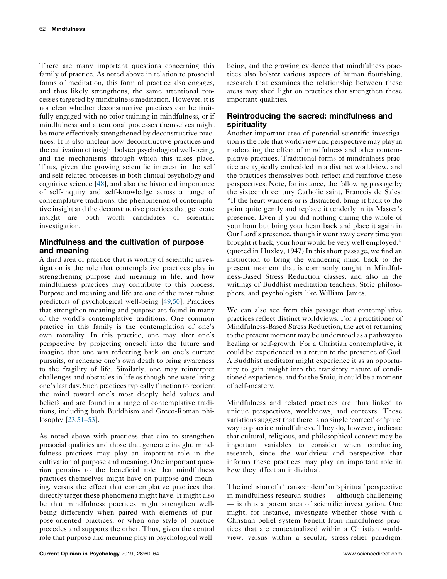There are many important questions concerning this family of practice. As noted above in relation to prosocial forms of meditation, this form of practice also engages, and thus likely strengthens, the same attentional processes targeted by mindfulness meditation. However, it is not clear whether deconstructive practices can be fruitfully engaged with no prior training in mindfulness, or if mindfulness and attentional processes themselves might be more effectively strengthened by deconstructive practices. It is also unclear how deconstructive practices and the cultivation of insight bolster psychological well-being, and the mechanisms through which this takes place. Thus, given the growing scientific interest in the self and self-related processes in both clinical psychology and cognitive science [[48\]](#page-4-0), and also the historical importance of self-inquiry and self-knowledge across a range of contemplative traditions, the phenomenon of contemplative insight and the deconstructive practices that generate insight are both worth candidates of scientific investigation.

# Mindfulness and the cultivation of purpose and meaning

A third area of practice that is worthy of scientific investigation is the role that contemplative practices play in strengthening purpose and meaning in life, and how mindfulness practices may contribute to this process. Purpose and meaning and life are one of the most robust predictors of psychological well-being [\[49](#page-4-0),[50\]](#page-4-0). Practices that strengthen meaning and purpose are found in many of the world's contemplative traditions. One common practice in this family is the contemplation of one's own mortality. In this practice, one may alter one's perspective by projecting oneself into the future and imagine that one was reflecting back on one's current pursuits, or rehearse one's own death to bring awareness to the fragility of life. Similarly, one may reinterpret challenges and obstacles in life as though one were living one's last day. Such practices typically function to reorient the mind toward one's most deeply held values and beliefs and are found in a range of contemplative traditions, including both Buddhism and Greco-Roman philosophy [\[23](#page-4-0),[51–53\]](#page-4-0).

As noted above with practices that aim to strengthen prosocial qualities and those that generate insight, mindfulness practices may play an important role in the cultivation of purpose and meaning. One important question pertains to the beneficial role that mindfulness practices themselves might have on purpose and meaning, versus the effect that contemplative practices that directly target these phenomena might have. It might also be that mindfulness practices might strengthen wellbeing differently when paired with elements of purpose-oriented practices, or when one style of practice precedes and supports the other. Thus, given the central role that purpose and meaning play in psychological wellbeing, and the growing evidence that mindfulness practices also bolster various aspects of human flourishing, research that examines the relationship between these areas may shed light on practices that strengthen these important qualities.

# Reintroducing the sacred: mindfulness and spirituality

Another important area of potential scientific investigation isthe role that worldview and perspective may play in moderating the effect of mindfulness and other contemplative practices. Traditional forms of mindfulness practice are typically embedded in a distinct worldview, and the practices themselves both reflect and reinforce these perspectives. Note, for instance, the following passage by the sixteenth century Catholic saint, Francois de Sales: "If the heart wanders or is distracted, bring it back to the point quite gently and replace it tenderly in its Master's presence. Even if you did nothing during the whole of your hour but bring your heart back and place it again in Our Lord's presence, though it went away every time you brought it back, your hour would be very well employed." (quoted in Huxley, 1947) In this short passage, we find an instruction to bring the wandering mind back to the present moment that is commonly taught in Mindfulness-Based Stress Reduction classes, and also in the writings of Buddhist meditation teachers, Stoic philosophers, and psychologists like William James.

We can also see from this passage that contemplative practices reflect distinct worldviews. For a practitioner of Mindfulness-Based Stress Reduction, the act of returning to the present moment may be understood as a pathway to healing or self-growth. For a Christian contemplative, it could be experienced as a return to the presence of God. A Buddhist meditator might experience it as an opportunity to gain insight into the transitory nature of conditioned experience, and for the Stoic, it could be a moment of self-mastery.

Mindfulness and related practices are thus linked to unique perspectives, worldviews, and contexts. These variations suggest that there is no single 'correct' or 'pure' way to practice mindfulness. They do, however, indicate that cultural, religious, and philosophical context may be important variables to consider when conducting research, since the worldview and perspective that informs these practices may play an important role in how they affect an individual.

The inclusion of a 'transcendent' or 'spiritual' perspective in mindfulness research studies — although challenging — is thus a potent area of scientific investigation. One might, for instance, investigate whether those with a Christian belief system benefit from mindfulness practices that are contextualized within a Christian worldview, versus within a secular, stress-relief paradigm.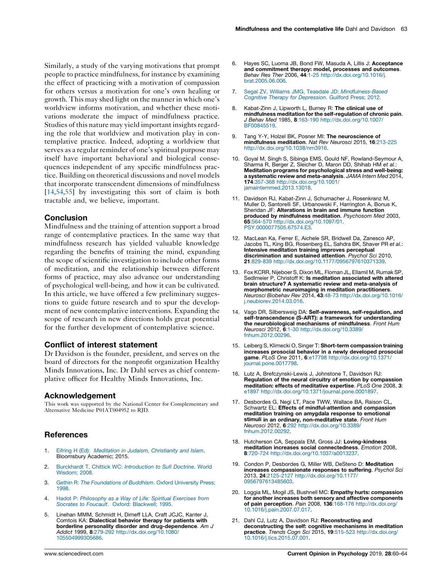<span id="page-3-0"></span>Similarly, a study of the varying motivations that prompt people to practice mindfulness, for instance by examining the effect of practicing with a motivation of compassion for others versus a motivation for one's own healing or growth. This may shed light on the manner in which one's worldview informs motivation, and whether these motivations moderate the impact of mindfulness practice. Studies of this nature may yield important insights regarding the role that worldview and motivation play in contemplative practice. Indeed, adopting a worldview that serves as a regular reminder of one's spiritual purpose may itself have important behavioral and biological consequences independent of any specific mindfulness practice. Building on theoretical discussions and novel models that incorporate transcendent dimensions of mindfulness [14,[54,55](#page-4-0)] by investigating this sort of claim is both tractable and, we believe, important.

## **Conclusion**

Mindfulness and the training of attention support a broad range of contemplative practices. In the same way that mindfulness research has yielded valuable knowledge regarding the benefits of training the mind, expanding the scope of scientific investigation to include other forms of meditation, and the relationship between different forms of practice, may also advance our understanding of psychological well-being, and how it can be cultivated. In this article, we have offered a few preliminary suggestions to guide future research and to spur the development of new contemplative interventions. Expanding the scope of research in new directions holds great potential for the further development of contemplative science.

## Conflict of interest statement

Dr Davidson is the founder, president, and serves on the board of directors for the nonprofit organization Healthy Minds Innovations, Inc. Dr Dahl serves as chief contemplative officer for Healthy Minds Innovations, Inc.

#### Acknowledgement

This work was supported by the National Center for Complementary and Alternative Medicine P01AT004952 to RJD.

## **References**

- 1. Eifring H (Ed): Meditation in Judaism, [Christianity](http://refhub.elsevier.com/S2352-250X(18)30126-X/sbref0005) and Islam. Bloomsbury Academic; 2015.
- 2. Burckhardt T, Chittick WC: [Introduction](http://refhub.elsevier.com/S2352-250X(18)30126-X/sbref0010) to Sufi Doctrine. World [Wisdom;](http://refhub.elsevier.com/S2352-250X(18)30126-X/sbref0010) 2008.
- 3. Gethin R: The [Foundations](http://refhub.elsevier.com/S2352-250X(18)30126-X/sbref0015) of Buddhism. Oxford University Press; [1998.](http://refhub.elsevier.com/S2352-250X(18)30126-X/sbref0015)
- 4. Hadot P: [Philosophy](http://refhub.elsevier.com/S2352-250X(18)30126-X/sbref0020) as a Way of Life: Spiritual Exercises from Socrates to Foucault. Oxford: [Blackwell;](http://refhub.elsevier.com/S2352-250X(18)30126-X/sbref0020) 1995.
- 5. Linehan MMM, Schmidt H, Dimeff LLA, Craft JCJC, Kanter J, Comtois KA: Dialectical behavior therapy for patients with borderline personality disorder and drug-dependence. Am J Addict 1999, 8:279-292 [http://dx.doi.org/10.1080/](http://dx.doi.org/10.1080/105504999305686) [105504999305686](http://dx.doi.org/10.1080/105504999305686).
- Hayes SC, Luoma JB, Bond FW, Masuda A, Lillis J: Acceptance and commitment therapy: model, processes and outcomes. Behav Res Ther 2006, 44:1-25 [http://dx.doi.org/10.1016/j.](http://dx.doi.org/10.1016/j.brat.2005.06.006) [brat.2005.06.006](http://dx.doi.org/10.1016/j.brat.2005.06.006).
- 7. Segal ZV, Williams JMG, Teasdale JD: [Mindfulness-Based](http://refhub.elsevier.com/S2352-250X(18)30126-X/sbref0035) Cognitive Therapy for [Depression](http://refhub.elsevier.com/S2352-250X(18)30126-X/sbref0035). Guilford Press; 2012.
- 8. Kabat-Zinn J. Lipworth L. Burney R: The clinical use of mindfulness meditation for the self-regulation of chronic pain. J Behav Med 1985, 8:163-190 [http://dx.doi.org/10.1007/](http://dx.doi.org/10.1007/BF00845519) [BF00845519](http://dx.doi.org/10.1007/BF00845519).
- 9. Tang Y-Y, Holzel BK, Posner MI: The neuroscience of mindfulness meditation. Nat Rev Neurosci 2015, 16:213-225 <http://dx.doi.org/10.1038/nrn3916>.
- 10. Goyal M, Singh S, Sibinga EMS, Gould NF, Rowland-Seymour A, Sharma R, Berger Z, Sleicher D, Maron DD, Shihab HM et al.: Meditation programs for psychological stress and well-being: **a systematic review and meta-analysis**. JAMA Intern Med 2014,<br>**174**:357-368 [http://dx.doi.org/10.1001/](http://dx.doi.org/10.1001/jamainternmed.2013.13018) [jamainternmed.2013.13018.](http://dx.doi.org/10.1001/jamainternmed.2013.13018)
- 11. Davidson RJ, Kabat-Zinn J, Schumacher J, Rosenkranz M, Muller D, Santorelli SF, Urbanowski F, Harrington A, Bonus K, Sheridan JF: Alterations in brain and immune function produced by mindfulness meditation. Psychosom Med 2003, 65:564-570 [http://dx.doi.org/10.1097/01.](http://dx.doi.org/10.1097/01.PSY.0000077505.67574.E3) [PSY.0000077505.67574.E3](http://dx.doi.org/10.1097/01.PSY.0000077505.67574.E3).
- 12. MacLean Ka, Ferrer E, Aichele SR, Bridwell Da, Zanesco AP, Jacobs TL, King BG, Rosenberg EL, Sahdra BK, Shaver PR et al.: Intensive meditation training improves perceptual discrimination and sustained attention. Psychol Sci 2010, 21:829-839 <http://dx.doi.org/10.1177/0956797610371339>.
- 13. Fox KCRR, Nijeboer S, Dixon ML, Floman JL, Ellamil M, Rumak SP, Sedlmeier P, Christoff K: Is meditation associated with altered brain structure? A systematic review and meta-analysis of morphometric neuroimaging in meditation practitioners. Neurosci Biobehav Rev 2014, 43:48-73 [http://dx.doi.org/10.1016/](http://dx.doi.org/10.1016/j.neubiorev.2014.03.016) [j.neubiorev.2014.03.016.](http://dx.doi.org/10.1016/j.neubiorev.2014.03.016)
- 14. Vago DR, Silbersweig DA: Self-awareness, self-regulation, and self-transcendence (S-ART): a framework for understanding the neurobiological mechanisms of mindfulness. Front Hum Neurosci 2012, 6:1-30 [http://dx.doi.org/10.3389/](http://dx.doi.org/10.3389/fnhum.2012.00296) [fnhum.2012.00296.](http://dx.doi.org/10.3389/fnhum.2012.00296)
- 15. Leiberg S, Klimecki O, Singer T: Short-term compassion training increases prosocial behavior in a newly developed prosocial game. PLoS One 2011, 6:e17798 [http://dx.doi.org/10.1371/](http://dx.doi.org/10.1371/journal.pone.0017798) [journal.pone.0017798.](http://dx.doi.org/10.1371/journal.pone.0017798)
- 16. Lutz A, Brefczynski-Lewis J, Johnstone T, Davidson RJ: Regulation of the neural circuitry of emotion by compassion meditation: effects of meditative expertise. PLoS One 2008, 3: e1897 <http://dx.doi.org/10.1371/journal.pone.0001897>.
- 17. Desbordes G, Negi LT, Pace TWW, Wallace BA, Raison CL, Schwartz EL: Effects of mindful-attention and compassion meditation training on amygdala response to emotional stimuli in an ordinary, non-meditative state. Front Hum Neurosci 2012, 6:292 [http://dx.doi.org/10.3389/](http://dx.doi.org/10.3389/fnhum.2012.00292) [fnhum.2012.00292.](http://dx.doi.org/10.3389/fnhum.2012.00292)
- 18. Hutcherson CA, Seppala EM, Gross JJ: Loving-kindness meditation increases social connectedness. Emotion 2008, 8:720-724 <http://dx.doi.org/10.1037/a0013237>.
- 19. Condon P, Desbordes G, Miller WB, DeSteno D: Meditation increases compassionate responses to suffering. Psychol Sci 2013, 24:2125-2127 [http://dx.doi.org/10.1177/](http://dx.doi.org/10.1177/0956797613485603) [0956797613485603.](http://dx.doi.org/10.1177/0956797613485603)
- 20. Loggia ML, Mogil JS, Bushnell MC: Empathy hurts: compassion for another increases both sensory and affective components<br>of pain perception. Pain 2008, 136:168-176 [http://dx.doi.org/](http://dx.doi.org/10.1016/j.pain.2007.07.017) [10.1016/j.pain.2007.07.017](http://dx.doi.org/10.1016/j.pain.2007.07.017).
- 21. Dahl CJ, Lutz A, Davidson RJ: Reconstructing and deconstructing the self: cognitive mechanisms in meditation practice. Trends Cogn Sci 2015, 19:515-523 [http://dx.doi.org/](http://dx.doi.org/10.1016/j.tics.2015.07.001) [10.1016/j.tics.2015.07.001.](http://dx.doi.org/10.1016/j.tics.2015.07.001)